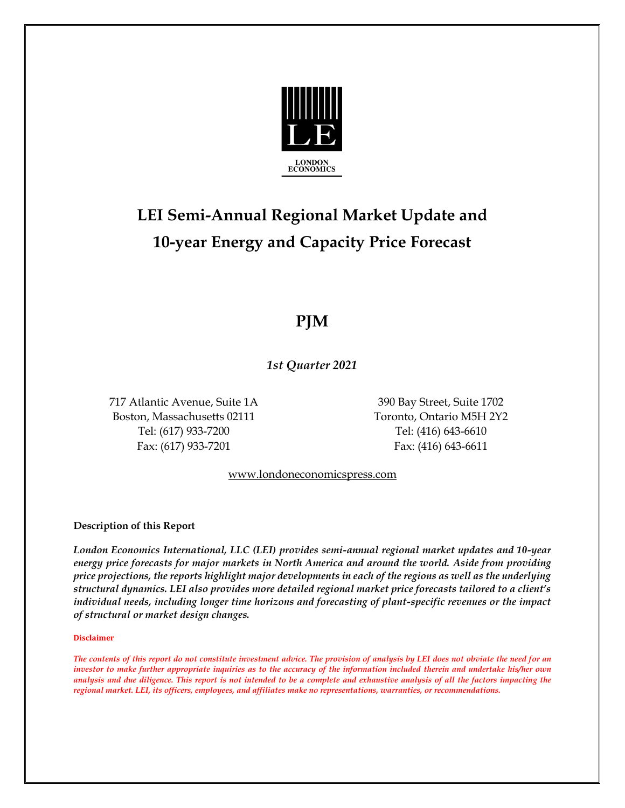

# **LEI Semi-Annual Regional Market Update and 10-year Energy and Capacity Price Forecast**

### **PJM**

*1st Quarter 2021*

717 Atlantic Avenue, Suite 1A 390 Bay Street, Suite 1702 Boston, Massachusetts 02111 Toronto, Ontario M5H 2Y2 Tel: (617) 933-7200 Tel: (416) 643-6610 Fax: (617) 933-7201 Fax: (416) 643-6611

www.londoneconomicspress.com

**Description of this Report**

*London Economics International, LLC (LEI) provides semi-annual regional market updates and 10-year energy price forecasts for major markets in North America and around the world. Aside from providing price projections, the reports highlight major developments in each of the regions as well as the underlying structural dynamics. LEI also provides more detailed regional market price forecasts tailored to a client's individual needs, including longer time horizons and forecasting of plant-specific revenues or the impact of structural or market design changes.*

#### **Disclaimer**

*The contents of this report do not constitute investment advice. The provision of analysis by LEI does not obviate the need for an investor to make further appropriate inquiries as to the accuracy of the information included therein and undertake his/her own analysis and due diligence. This report is not intended to be a complete and exhaustive analysis of all the factors impacting the regional market. LEI, its officers, employees, and affiliates make no representations, warranties, or recommendations.*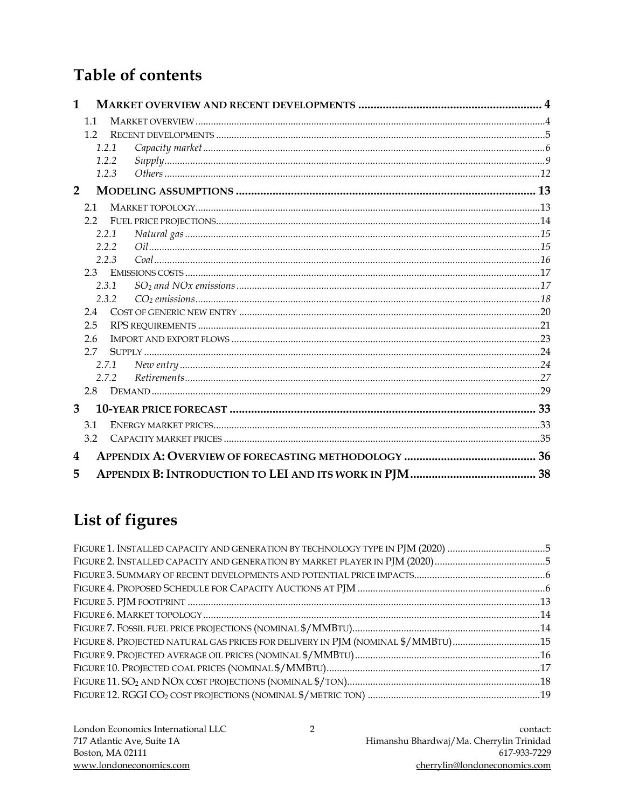### **Table of contents**

| 1                |     |       |  |
|------------------|-----|-------|--|
|                  | 1.1 |       |  |
|                  | 1.2 |       |  |
|                  |     | 1.2.1 |  |
|                  |     | 1.2.2 |  |
|                  |     | 1.2.3 |  |
| $\overline{2}$   |     |       |  |
|                  | 2.1 |       |  |
|                  | 2.2 |       |  |
|                  |     | 2.2.1 |  |
|                  |     | 2.2.2 |  |
|                  |     | 2.2.3 |  |
|                  | 2.3 |       |  |
|                  |     | 2.3.1 |  |
|                  |     | 2.3.2 |  |
|                  | 2.4 |       |  |
|                  | 2.5 |       |  |
|                  | 2.6 |       |  |
|                  | 2.7 |       |  |
|                  |     | 2.7.1 |  |
|                  |     | 2.7.2 |  |
|                  | 2.8 |       |  |
| 3                |     |       |  |
|                  | 3.1 |       |  |
|                  | 3.2 |       |  |
| $\boldsymbol{4}$ |     |       |  |
| 5                |     |       |  |

## List of figures

| FIGURE 8. PROJECTED NATURAL GAS PRICES FOR DELIVERY IN PJM (NOMINAL \$/MMBTU)15 |
|---------------------------------------------------------------------------------|
|                                                                                 |
|                                                                                 |
|                                                                                 |
|                                                                                 |